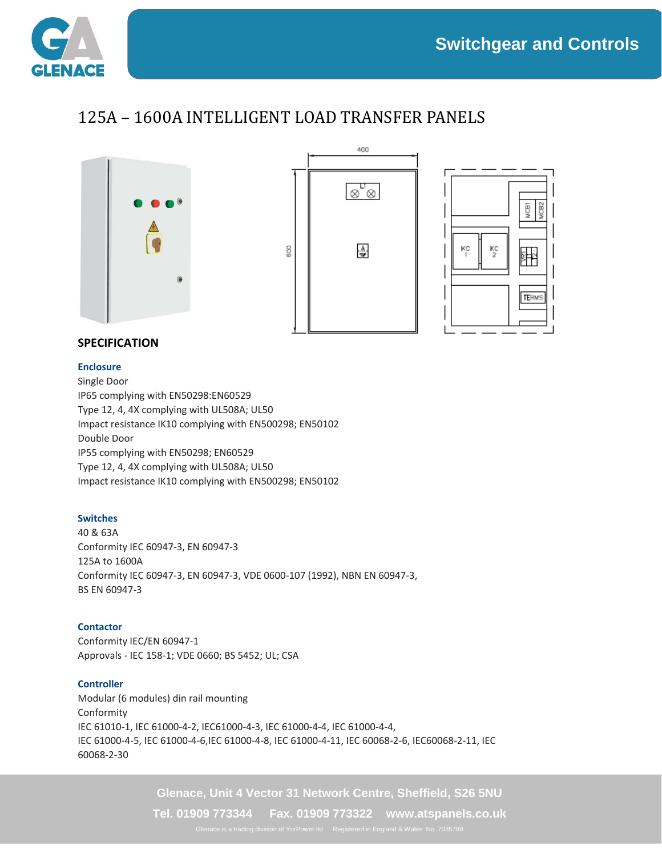

## 125A – 1600A INTELLIGENT LOAD TRANSFER PANELS







### **SPECIFICATION**

#### **Enclosure**

Single Door IP65 complying with EN50298:EN60529 Type 12, 4, 4X complying with UL508A; UL50 Impact resistance IK10 complying with EN500298; EN50102 Double Door IP55 complying with EN50298; EN60529 Type 12, 4, 4X complying with UL508A; UL50 Impact resistance IK10 complying with EN500298; EN50102

#### **Switches**

40 & 63A Conformity IEC 60947-3, EN 60947-3 125A to 1600A Conformity IEC 60947-3, EN 60947-3, VDE 0600-107 (1992), NBN EN 60947-3, BS EN 60947-3

#### **Contactor**

Conformity IEC/EN 60947-1 Approvals - IEC 158-1; VDE 0660; BS 5452; UL; CSA

#### **Controller**

Modular (6 modules) din rail mounting Conformity IEC 61010-1, IEC 61000-4-2, IEC61000-4-3, IEC 61000-4-4, IEC 61000-4-4, IEC 61000-4-5, IEC 61000-4-6,IEC 61000-4-8, IEC 61000-4-11, IEC 60068-2-6, IEC60068-2-11, IEC 60068-2-30

**Glenace, Unit 4 Vector 31 Network Centre, Sheffield, S26 5NU**